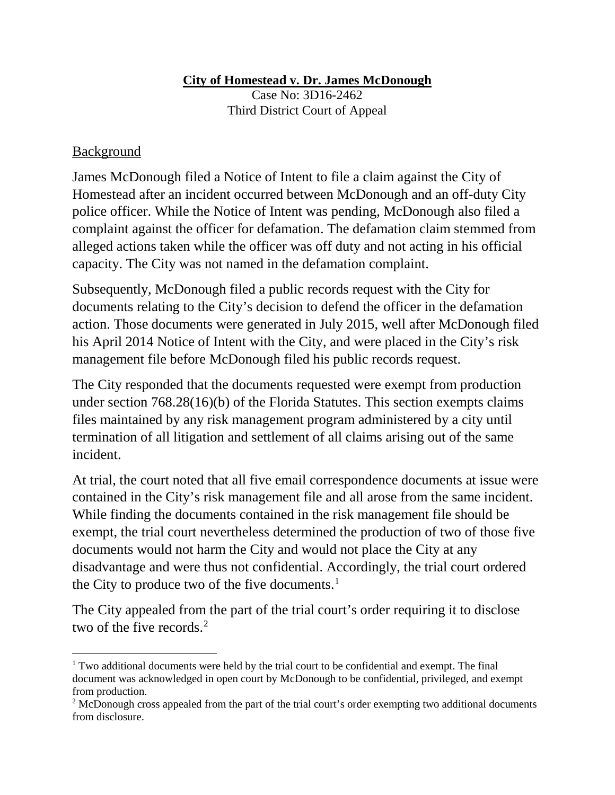## **City of Homestead v. Dr. James McDonough**

Case No: 3D16-2462 Third District Court of Appeal

## Background

l

James McDonough filed a Notice of Intent to file a claim against the City of Homestead after an incident occurred between McDonough and an off-duty City police officer. While the Notice of Intent was pending, McDonough also filed a complaint against the officer for defamation. The defamation claim stemmed from alleged actions taken while the officer was off duty and not acting in his official capacity. The City was not named in the defamation complaint.

Subsequently, McDonough filed a public records request with the City for documents relating to the City's decision to defend the officer in the defamation action. Those documents were generated in July 2015, well after McDonough filed his April 2014 Notice of Intent with the City, and were placed in the City's risk management file before McDonough filed his public records request.

The City responded that the documents requested were exempt from production under section 768.28(16)(b) of the Florida Statutes. This section exempts claims files maintained by any risk management program administered by a city until termination of all litigation and settlement of all claims arising out of the same incident.

At trial, the court noted that all five email correspondence documents at issue were contained in the City's risk management file and all arose from the same incident. While finding the documents contained in the risk management file should be exempt, the trial court nevertheless determined the production of two of those five documents would not harm the City and would not place the City at any disadvantage and were thus not confidential. Accordingly, the trial court ordered the City to produce two of the five documents. $<sup>1</sup>$ </sup>

The City appealed from the part of the trial court's order requiring it to disclose two of the five records.<sup>[2](#page-0-1)</sup>

<span id="page-0-0"></span> $1$  Two additional documents were held by the trial court to be confidential and exempt. The final document was acknowledged in open court by McDonough to be confidential, privileged, and exempt from production.

<span id="page-0-1"></span><sup>&</sup>lt;sup>2</sup> McDonough cross appealed from the part of the trial court's order exempting two additional documents from disclosure.